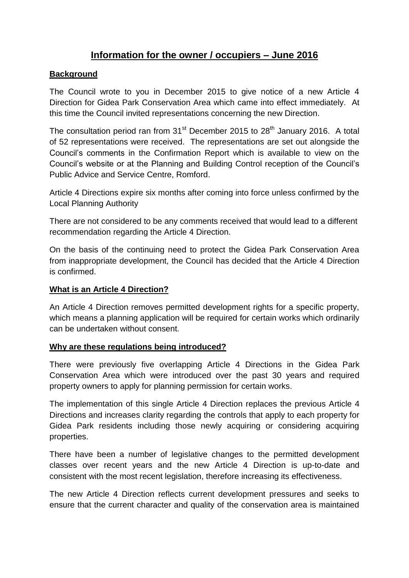# **Information for the owner / occupiers – June 2016**

### **Background**

The Council wrote to you in December 2015 to give notice of a new Article 4 Direction for Gidea Park Conservation Area which came into effect immediately. At this time the Council invited representations concerning the new Direction.

The consultation period ran from  $31<sup>st</sup>$  December 2015 to 28<sup>th</sup> January 2016. A total of 52 representations were received. The representations are set out alongside the Council's comments in the Confirmation Report which is available to view on the Council's website or at the Planning and Building Control reception of the Council's Public Advice and Service Centre, Romford.

Article 4 Directions expire six months after coming into force unless confirmed by the Local Planning Authority

There are not considered to be any comments received that would lead to a different recommendation regarding the Article 4 Direction.

On the basis of the continuing need to protect the Gidea Park Conservation Area from inappropriate development, the Council has decided that the Article 4 Direction is confirmed.

#### **What is an Article 4 Direction?**

An Article 4 Direction removes permitted development rights for a specific property, which means a planning application will be required for certain works which ordinarily can be undertaken without consent.

#### **Why are these regulations being introduced?**

There were previously five overlapping Article 4 Directions in the Gidea Park Conservation Area which were introduced over the past 30 years and required property owners to apply for planning permission for certain works.

The implementation of this single Article 4 Direction replaces the previous Article 4 Directions and increases clarity regarding the controls that apply to each property for Gidea Park residents including those newly acquiring or considering acquiring properties.

There have been a number of legislative changes to the permitted development classes over recent years and the new Article 4 Direction is up-to-date and consistent with the most recent legislation, therefore increasing its effectiveness.

The new Article 4 Direction reflects current development pressures and seeks to ensure that the current character and quality of the conservation area is maintained